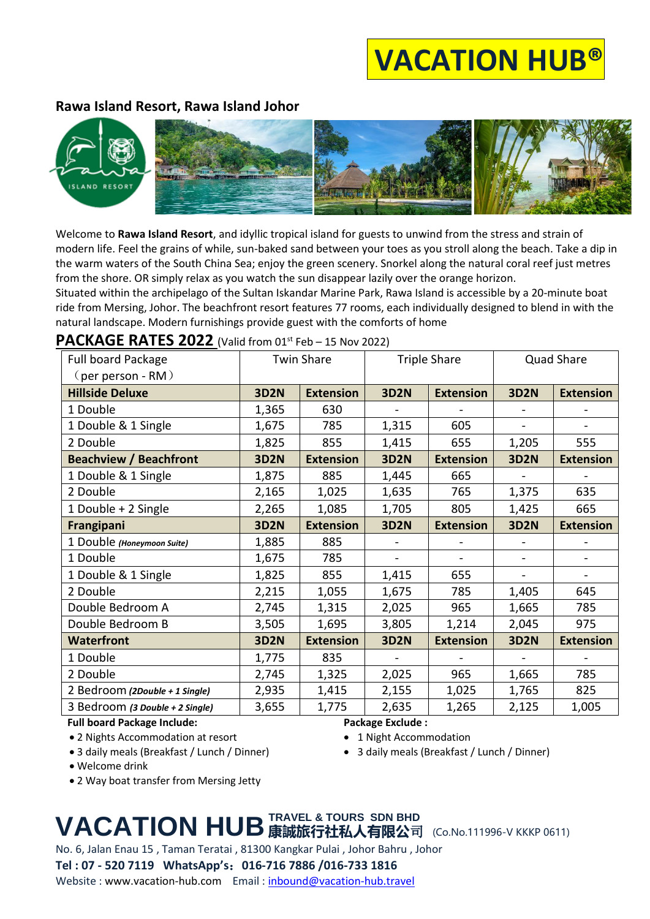# **VACATION HUB®**

## **Rawa Island Resort, Rawa Island Johor**



Welcome to **Rawa Island Resort**, and idyllic tropical island for guests to unwind from the stress and strain of modern life. Feel the grains of while, sun-baked sand between your toes as you stroll along the beach. Take a dip in the warm waters of the South China Sea; enjoy the green scenery. Snorkel along the natural coral reef just metres from the shore. OR simply relax as you watch the sun disappear lazily over the orange horizon.

Situated within the archipelago of the Sultan Iskandar Marine Park, Rawa Island is accessible by a 20-minute boat ride from Mersing, Johor. The beachfront resort features 77 rooms, each individually designed to blend in with the natural landscape. Modern furnishings provide guest with the comforts of home

## **PACKAGE RATES 2022** (Valid from 01st Feb – 15 Nov 2022)

| Full board Package              | <b>Twin Share</b> |                  | <b>Triple Share</b> |                          | <b>Quad Share</b> |                  |
|---------------------------------|-------------------|------------------|---------------------|--------------------------|-------------------|------------------|
| $\zeta$ per person - RM $\zeta$ |                   |                  |                     |                          |                   |                  |
| <b>Hillside Deluxe</b>          | <b>3D2N</b>       | <b>Extension</b> | <b>3D2N</b>         | <b>Extension</b>         | <b>3D2N</b>       | <b>Extension</b> |
| 1 Double                        | 1,365             | 630              |                     |                          |                   |                  |
| 1 Double & 1 Single             | 1,675             | 785              | 1,315               | 605                      |                   |                  |
| 2 Double                        | 1,825             | 855              | 1,415               | 655                      | 1,205             | 555              |
| <b>Beachview / Beachfront</b>   | <b>3D2N</b>       | <b>Extension</b> | <b>3D2N</b>         | <b>Extension</b>         | <b>3D2N</b>       | <b>Extension</b> |
| 1 Double & 1 Single             | 1,875             | 885              | 1,445               | 665                      |                   |                  |
| 2 Double                        | 2,165             | 1,025            | 1,635               | 765                      | 1,375             | 635              |
| 1 Double + 2 Single             | 2,265             | 1,085            | 1,705               | 805                      | 1,425             | 665              |
| Frangipani                      | <b>3D2N</b>       | <b>Extension</b> | <b>3D2N</b>         | <b>Extension</b>         | <b>3D2N</b>       | <b>Extension</b> |
| 1 Double (Honeymoon Suite)      | 1,885             | 885              |                     |                          |                   |                  |
| 1 Double                        | 1,675             | 785              | $\blacksquare$      | $\overline{\phantom{0}}$ |                   |                  |
| 1 Double & 1 Single             | 1,825             | 855              | 1,415               | 655                      |                   |                  |
| 2 Double                        | 2,215             | 1,055            | 1,675               | 785                      | 1,405             | 645              |
| Double Bedroom A                | 2,745             | 1,315            | 2,025               | 965                      | 1,665             | 785              |
| Double Bedroom B                | 3,505             | 1,695            | 3,805               | 1,214                    | 2,045             | 975              |
| <b>Waterfront</b>               | <b>3D2N</b>       | <b>Extension</b> | <b>3D2N</b>         | <b>Extension</b>         | <b>3D2N</b>       | <b>Extension</b> |
| 1 Double                        | 1,775             | 835              | $\blacksquare$      |                          |                   |                  |
| 2 Double                        | 2,745             | 1,325            | 2,025               | 965                      | 1,665             | 785              |
| 2 Bedroom (2Double + 1 Single)  | 2,935             | 1,415            | 2,155               | 1,025                    | 1,765             | 825              |
| 3 Bedroom (3 Double + 2 Single) | 3,655             | 1,775            | 2,635               | 1,265                    | 2,125             | 1,005            |

**Full board Package Include:**

• 2 Nights Accommodation at resort

• 3 daily meals (Breakfast / Lunch / Dinner)

• Welcome drink

• 2 Way boat transfer from Mersing Jetty

## **Package Exclude :**

• 1 Night Accommodation

• 3 daily meals (Breakfast / Lunch / Dinner)

# **VACATION HUB 康誠旅行社私人有限公司 (Co.No.111996-V KKKP 0611) TRAVEL & TOURS SDN BHD**

No. 6, Jalan Enau 15 , Taman Teratai , 81300 Kangkar Pulai , Johor Bahru , Johor

**Tel : 07 - 520 7119 WhatsApp's**:**016-716 7886 /016-733 1816**

Website : www.vacation-hub.com Email : [inbound@vacation-hub.travel](mailto:inbound@vacation-hub.travel)